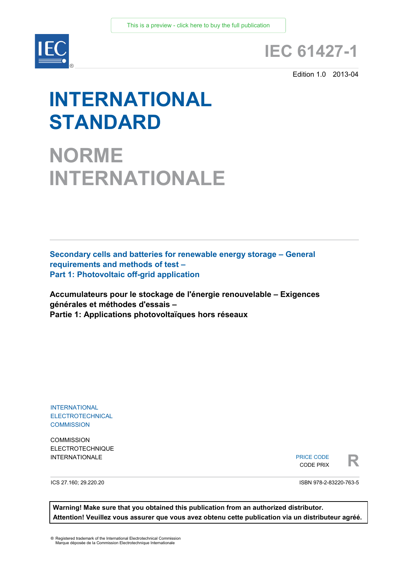

## **IEC 61427-1**

Edition 1.0 2013-04

# **INTERNATIONAL STANDARD**

**NORME INTERNATIONALE**

**Secondary cells and batteries for renewable energy storage – General requirements and methods of test – Part 1: Photovoltaic off-grid application** 

**Accumulateurs pour le stockage de l'énergie renouvelable – Exigences générales et méthodes d'essais – Partie 1: Applications photovoltaïques hors réseaux**

INTERNATIONAL ELECTROTECHNICAL **COMMISSION** 

**COMMISSION** ELECTROTECHNIQUE

INTERNATIONALE PRICE CODE PRIX PRICE CODE CODE PRIX

ICS 27.160; 29.220.20

ISBN 978-2-83220-763-5

**Warning! Make sure that you obtained this publication from an authorized distributor. Attention! Veuillez vous assurer que vous avez obtenu cette publication via un distributeur agréé.**

® Registered trademark of the International Electrotechnical Commission Marque déposée de la Commission Electrotechnique Internationale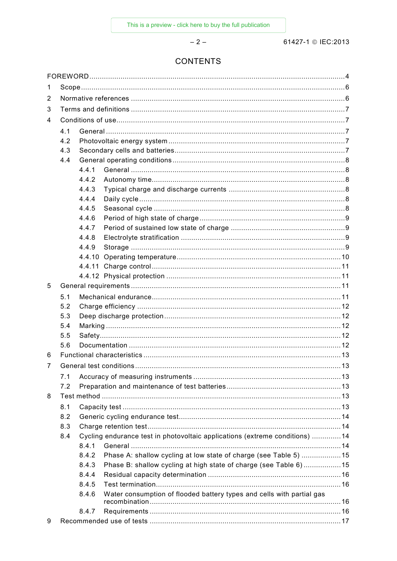$-2-$ 

### **CONTENTS**

| 1              |     |        |                                                                              |  |
|----------------|-----|--------|------------------------------------------------------------------------------|--|
| 2              |     |        |                                                                              |  |
| 3              |     |        |                                                                              |  |
| $\overline{4}$ |     |        |                                                                              |  |
|                | 4.1 |        |                                                                              |  |
|                | 4.2 |        |                                                                              |  |
|                | 4.3 |        |                                                                              |  |
|                | 4.4 |        |                                                                              |  |
|                |     |        |                                                                              |  |
|                |     | 4.4.1  |                                                                              |  |
|                |     | 4.4.2  |                                                                              |  |
|                |     | 4.4.3  |                                                                              |  |
|                |     | 4.4.4  |                                                                              |  |
|                |     | 4.4.5  |                                                                              |  |
|                |     | 4.4.6  |                                                                              |  |
|                |     | 4.4.7  |                                                                              |  |
|                |     | 4.4.8  |                                                                              |  |
|                |     | 4.4.9  |                                                                              |  |
|                |     | 4.4.10 |                                                                              |  |
|                |     |        |                                                                              |  |
|                |     |        |                                                                              |  |
| 5              |     |        |                                                                              |  |
|                | 5.1 |        |                                                                              |  |
|                | 5.2 |        |                                                                              |  |
|                | 5.3 |        |                                                                              |  |
|                | 5.4 |        |                                                                              |  |
|                | 5.5 |        |                                                                              |  |
|                | 5.6 |        |                                                                              |  |
| 6              |     |        |                                                                              |  |
| 7              |     |        |                                                                              |  |
|                | 7.1 |        |                                                                              |  |
|                | 7.2 |        |                                                                              |  |
| 8              |     |        |                                                                              |  |
|                | 8.1 |        |                                                                              |  |
|                | 8.2 |        |                                                                              |  |
|                | 8.3 |        |                                                                              |  |
|                | 8.4 |        | Cycling endurance test in photovoltaic applications (extreme conditions)  14 |  |
|                |     | 8.4.1  |                                                                              |  |
|                |     | 8.4.2  | Phase A: shallow cycling at low state of charge (see Table 5) 15             |  |
|                |     | 8.4.3  | Phase B: shallow cycling at high state of charge (see Table 6)15             |  |
|                |     | 8.4.4  |                                                                              |  |
|                |     | 8.4.5  |                                                                              |  |
|                |     | 8.4.6  | Water consumption of flooded battery types and cells with partial gas        |  |
|                |     |        |                                                                              |  |
|                |     | 8.4.7  |                                                                              |  |
| 9              |     |        |                                                                              |  |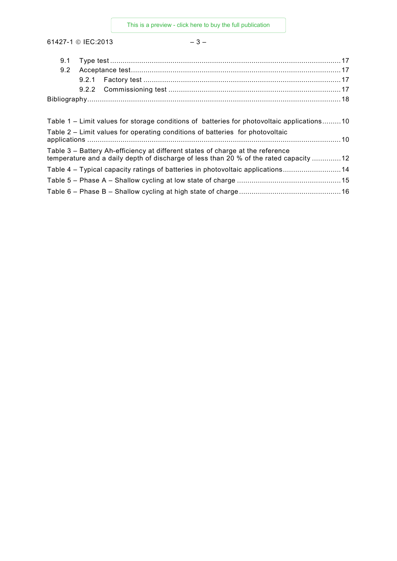[This is a preview - click here to buy the full publication](https://webstore.iec.ch/publication/5449&preview=1)

61427-1 © IEC:2013 – 3 –

| Table 1 – Limit values for storage conditions of batteries for photovoltaic applications10                                                                              |  |
|-------------------------------------------------------------------------------------------------------------------------------------------------------------------------|--|
| Table 2 – Limit values for operating conditions of batteries for photovoltaic                                                                                           |  |
| Table 3 - Battery Ah-efficiency at different states of charge at the reference<br>temperature and a daily depth of discharge of less than 20 % of the rated capacity 12 |  |
| Table 4 – Typical capacity ratings of batteries in photovoltaic applications 14                                                                                         |  |
|                                                                                                                                                                         |  |
|                                                                                                                                                                         |  |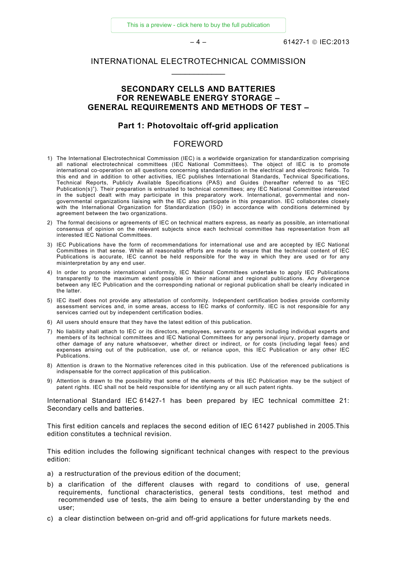[This is a preview - click here to buy the full publication](https://webstore.iec.ch/publication/5449&preview=1)

 $-4 - 61427-1$  © IFC:2013

#### INTERNATIONAL ELECTROTECHNICAL COMMISSION \_\_\_\_\_\_\_\_\_\_\_\_

#### **SECONDARY CELLS AND BATTERIES FOR RENEWABLE ENERGY STORAGE – GENERAL REQUIREMENTS AND METHODS OF TEST –**

#### **Part 1: Photovoltaic off-grid application**

#### FOREWORD

- 1) The International Electrotechnical Commission (IEC) is a worldwide organization for standardization comprising all national electrotechnical committees (IEC National Committees). The object of IEC is to promote international co-operation on all questions concerning standardization in the electrical and electronic fields. To this end and in addition to other activities, IEC publishes International Standards, Technical Specifications, Technical Reports, Publicly Available Specifications (PAS) and Guides (hereafter referred to as "IEC Publication(s)"). Their preparation is entrusted to technical committees; any IEC National Committee interested in the subject dealt with may participate in this preparatory work. International, governmental and nongovernmental organizations liaising with the IEC also participate in this preparation. IEC collaborates closely with the International Organization for Standardization (ISO) in accordance with conditions determined by agreement between the two organizations.
- 2) The formal decisions or agreements of IEC on technical matters express, as nearly as possible, an international consensus of opinion on the relevant subjects since each technical committee has representation from all interested IEC National Committees.
- 3) IEC Publications have the form of recommendations for international use and are accepted by IEC National Committees in that sense. While all reasonable efforts are made to ensure that the technical content of IEC Publications is accurate, IEC cannot be held responsible for the way in which they are used or for any misinterpretation by any end user.
- 4) In order to promote international uniformity, IEC National Committees undertake to apply IEC Publications transparently to the maximum extent possible in their national and regional publications. Any divergence between any IEC Publication and the corresponding national or regional publication shall be clearly indicated in the latter.
- 5) IEC itself does not provide any attestation of conformity. Independent certification bodies provide conformity assessment services and, in some areas, access to IEC marks of conformity. IEC is not responsible for any services carried out by independent certification bodies.
- 6) All users should ensure that they have the latest edition of this publication.
- 7) No liability shall attach to IEC or its directors, employees, servants or agents including individual experts and members of its technical committees and IEC National Committees for any personal injury, property damage or other damage of any nature whatsoever, whether direct or indirect, or for costs (including legal fees) and expenses arising out of the publication, use of, or reliance upon, this IEC Publication or any other IEC Publications.
- 8) Attention is drawn to the Normative references cited in this publication. Use of the referenced publications is indispensable for the correct application of this publication.
- 9) Attention is drawn to the possibility that some of the elements of this IEC Publication may be the subject of patent rights. IEC shall not be held responsible for identifying any or all such patent rights.

International Standard IEC 61427-1 has been prepared by IEC technical committee 21: Secondary cells and batteries.

This first edition cancels and replaces the second edition of IEC 61427 published in 2005.This edition constitutes a technical revision.

This edition includes the following significant technical changes with respect to the previous edition:

- a) a restructuration of the previous edition of the document;
- b) a clarification of the different clauses with regard to conditions of use, general requirements, functional characteristics, general tests conditions, test method and recommended use of tests, the aim being to ensure a better understanding by the end user;
- c) a clear distinction between on-grid and off-grid applications for future markets needs.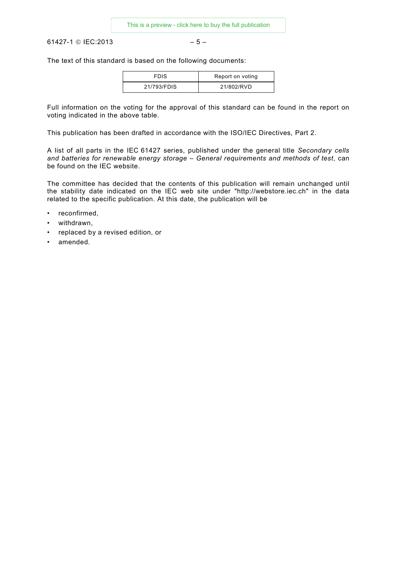$61427 - 1$  © IEC:2013 – 5 –

The text of this standard is based on the following documents:

| <b>FDIS</b> | Report on voting |
|-------------|------------------|
| 21/793/FDIS | 21/802/RVD       |

Full information on the voting for the approval of this standard can be found in the report on voting indicated in the above table.

This publication has been drafted in accordance with the ISO/IEC Directives, Part 2.

A list of all parts in the IEC 61427 series, published under the general title *Secondary cells and batteries for renewable energy storage – General requirements and methods of test*, can be found on the IEC website.

The committee has decided that the contents of this publication will remain unchanged until the stability date indicated on the IEC web site under "http://webstore.iec.ch" in the data related to the specific publication. At this date, the publication will be

- reconfirmed,
- withdrawn,
- replaced by a revised edition, or
- amended.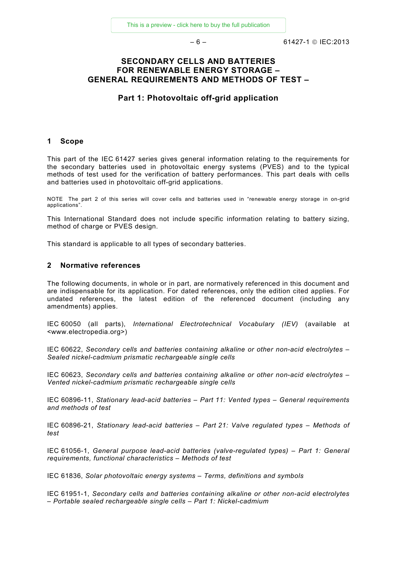#### **SECONDARY CELLS AND BATTERIES FOR RENEWABLE ENERGY STORAGE – GENERAL REQUIREMENTS AND METHODS OF TEST –**

#### **Part 1: Photovoltaic off-grid application**

#### **1 Scope**

This part of the IEC 61427 series gives general information relating to the requirements for the secondary batteries used in photovoltaic energy systems (PVES) and to the typical methods of test used for the verification of battery performances. This part deals with cells and batteries used in photovoltaic off-grid applications.

NOTE The part 2 of this series will cover cells and batteries used in "renewable energy storage in on-grid applications".

This International Standard does not include specific information relating to battery sizing, method of charge or PVES design.

This standard is applicable to all types of secondary batteries.

#### **2 Normative references**

The following documents, in whole or in part, are normatively referenced in this document and are indispensable for its application. For dated references, only the edition cited applies. For undated references, the latest edition of the referenced document (including any amendments) applies.

IEC 60050 (all parts), *International Electrotechnical Vocabulary (IEV)* (available at <www.electropedia.org>)

IEC 60622, *Secondary cells and batteries containing alkaline or other non-acid electrolytes – Sealed nickel-cadmium prismatic rechargeable single cells*

IEC 60623, *Secondary cells and batteries containing alkaline or other non-acid electrolytes – Vented nickel-cadmium prismatic rechargeable single cells* 

IEC 60896-11, *Stationary lead-acid batteries – Part 11: Vented types – General requirements and methods of test* 

IEC 60896-21, *Stationary lead-acid batteries – Part 21: Valve regulated types – Methods of test* 

IEC 61056-1, *General purpose lead-acid batteries (valve-regulated types) – Part 1: General requirements, functional characteristics – Methods of test* 

IEC 61836, *Solar photovoltaic energy systems – Terms, definitions and symbols*

IEC 61951-1, *Secondary cells and batteries containing alkaline or other non-acid electrolytes – Portable sealed rechargeable single cells – Part 1: Nickel-cadmium*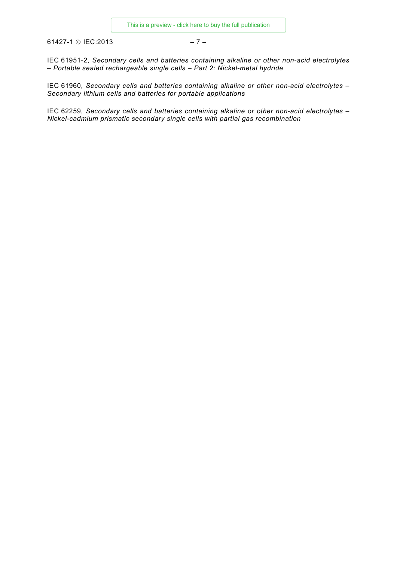61427-1 © IEC:2013 – 7 –

IEC 61951-2, *Secondary cells and batteries containing alkaline or other non-acid electrolytes – Portable sealed rechargeable single cells – Part 2: Nickel-metal hydride*

IEC 61960, *Secondary cells and batteries containing alkaline or other non-acid electrolytes – Secondary lithium cells and batteries for portable applications* 

IEC 62259, *Secondary cells and batteries containing alkaline or other non-acid electrolytes – Nickel-cadmium prismatic secondary single cells with partial gas recombination*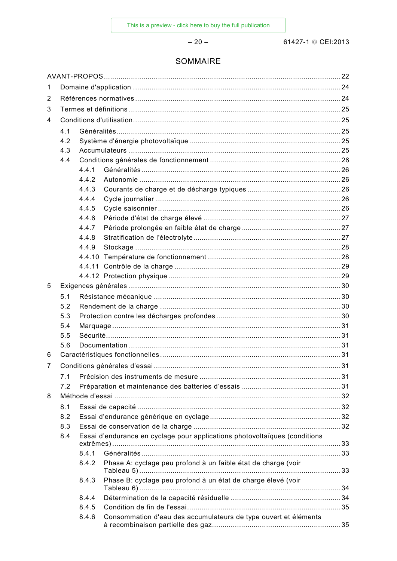$-20-$ 

#### SOMMAIRE

| 1              |     |        |                                                                            |  |  |
|----------------|-----|--------|----------------------------------------------------------------------------|--|--|
| 2              |     |        |                                                                            |  |  |
| 3              |     |        |                                                                            |  |  |
| 4              |     |        |                                                                            |  |  |
|                | 4.1 |        |                                                                            |  |  |
|                | 4.2 |        |                                                                            |  |  |
|                | 4.3 |        |                                                                            |  |  |
|                | 4.4 |        |                                                                            |  |  |
|                |     | 4.4.1  |                                                                            |  |  |
|                |     | 4.4.2  |                                                                            |  |  |
|                |     | 4.4.3  |                                                                            |  |  |
|                |     | 4.4.4  |                                                                            |  |  |
|                |     | 4.4.5  |                                                                            |  |  |
|                |     | 4.4.6  |                                                                            |  |  |
|                |     | 4.4.7  |                                                                            |  |  |
|                |     | 4.4.8  |                                                                            |  |  |
|                |     | 4.4.9  |                                                                            |  |  |
|                |     | 4.4.10 |                                                                            |  |  |
|                |     |        |                                                                            |  |  |
|                |     |        |                                                                            |  |  |
| 5              |     |        |                                                                            |  |  |
|                | 5.1 |        |                                                                            |  |  |
|                | 5.2 |        |                                                                            |  |  |
|                | 5.3 |        |                                                                            |  |  |
|                | 5.4 |        |                                                                            |  |  |
|                | 5.5 |        |                                                                            |  |  |
|                | 5.6 |        |                                                                            |  |  |
| 6              |     |        |                                                                            |  |  |
| $\overline{7}$ |     |        |                                                                            |  |  |
|                | 7.1 |        |                                                                            |  |  |
|                | 7.2 |        |                                                                            |  |  |
| 8              |     |        |                                                                            |  |  |
|                | 8.1 |        |                                                                            |  |  |
|                | 8.2 |        |                                                                            |  |  |
|                | 8.3 |        |                                                                            |  |  |
|                | 8.4 |        | Essai d'endurance en cyclage pour applications photovoltaïques (conditions |  |  |
|                |     |        |                                                                            |  |  |
|                |     | 8.4.1  |                                                                            |  |  |
|                |     | 8.4.2  | Phase A: cyclage peu profond à un faible état de charge (voir              |  |  |
|                |     |        |                                                                            |  |  |
|                |     | 8.4.3  | Phase B: cyclage peu profond à un état de charge élevé (voir               |  |  |
|                |     | 8.4.4  |                                                                            |  |  |
|                |     | 8.4.5  |                                                                            |  |  |
|                |     | 8.4.6  | Consommation d'eau des accumulateurs de type ouvert et éléments            |  |  |
|                |     |        |                                                                            |  |  |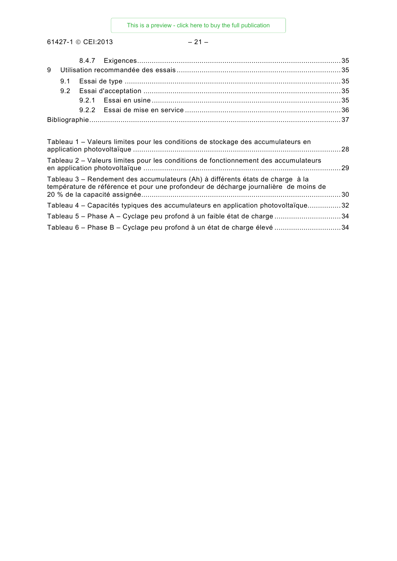61427-1 © CEI:2013 - 21 -

| Tableau 1 - Valeurs limites pour les conditions de stockage des accumulateurs en                                                                                      |  |
|-----------------------------------------------------------------------------------------------------------------------------------------------------------------------|--|
| Tableau 2 - Valeurs limites pour les conditions de fonctionnement des accumulateurs                                                                                   |  |
| Tableau 3 – Rendement des accumulateurs (Ah) à différents états de charge à la<br>température de référence et pour une profondeur de décharge journalière de moins de |  |
| Tableau 4 – Capacités typiques des accumulateurs en application photovoltaïque32                                                                                      |  |
| Tableau 5 – Phase A – Cyclage peu profond à un faible état de charge 34                                                                                               |  |
| Tableau 6 – Phase B – Cyclage peu profond à un état de charge élevé 34                                                                                                |  |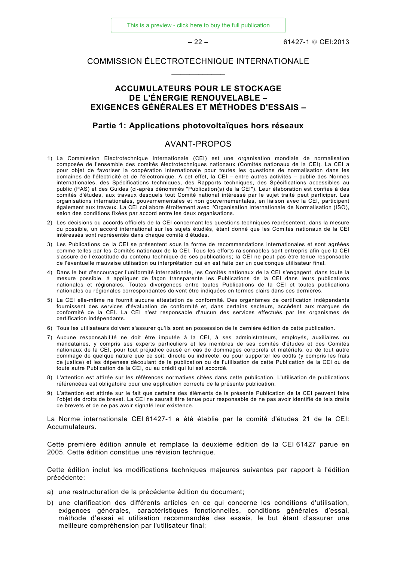[This is a preview - click here to buy the full publication](https://webstore.iec.ch/publication/5449&preview=1)

 $-22 - 61427 - 1 \odot \text{CE}$ 1:2013

#### COMMISSION ÉLECTROTECHNIQUE INTERNATIONALE  $\overline{\phantom{a}}$

#### **ACCUMULATEURS POUR LE STOCKAGE DE L'ÉNERGIE RENOUVELABLE – EXIGENCES GÉNÉRALES ET MÉTHODES D'ESSAIS –**

#### **Partie 1: Applications photovoltaïques hors réseaux**

#### AVANT-PROPOS

- 1) La Commission Electrotechnique Internationale (CEI) est une organisation mondiale de normalisation composée de l'ensemble des comités électrotechniques nationaux (Comités nationaux de la CEI). La CEI a pour objet de favoriser la coopération internationale pour toutes les questions de normalisation dans les domaines de l'électricité et de l'électronique. A cet effet, la CEI – entre autres activités – publie des Normes internationales, des Spécifications techniques, des Rapports techniques, des Spécifications accessibles au public (PAS) et des Guides (ci-après dénommés "Publication(s) de la CEI"). Leur élaboration est confiée à des comités d'études, aux travaux desquels tout Comité national intéressé par le sujet traité peut participer. Les organisations internationales, gouvernementales et non gouvernementales, en liaison avec la CEI, participent également aux travaux. La CEI collabore étroitement avec l'Organisation Internationale de Normalisation (ISO), selon des conditions fixées par accord entre les deux organisations.
- 2) Les décisions ou accords officiels de la CEI concernant les questions techniques représentent, dans la mesure du possible, un accord international sur les sujets étudiés, étant donné que les Comités nationaux de la CEI intéressés sont représentés dans chaque comité d'études.
- 3) Les Publications de la CEI se présentent sous la forme de recommandations internationales et sont agréées comme telles par les Comités nationaux de la CEI. Tous les efforts raisonnables sont entrepris afin que la CEI s'assure de l'exactitude du contenu technique de ses publications; la CEI ne peut pas être tenue responsable de l'éventuelle mauvaise utilisation ou interprétation qui en est faite par un quelconque utilisateur final.
- 4) Dans le but d'encourager l'uniformité internationale, les Comités nationaux de la CEI s'engagent, dans toute la mesure possible, à appliquer de façon transparente les Publications de la CEI dans leurs publications nationales et régionales. Toutes divergences entre toutes Publications de la CEI et toutes publications nationales ou régionales correspondantes doivent être indiquées en termes clairs dans ces dernières.
- 5) La CEI elle-même ne fournit aucune attestation de conformité. Des organismes de certification indépendants fournissent des services d'évaluation de conformité et, dans certains secteurs, accèdent aux marques de conformité de la CEI. La CEI n'est responsable d'aucun des services effectués par les organismes de certification indépendants.
- 6) Tous les utilisateurs doivent s'assurer qu'ils sont en possession de la dernière édition de cette publication.
- 7) Aucune responsabilité ne doit être imputée à la CEI, à ses administrateurs, employés, auxiliaires ou mandataires, y compris ses experts particuliers et les membres de ses comités d'études et des Comités nationaux de la CEI, pour tout préjudice causé en cas de dommages corporels et matériels, ou de tout autre dommage de quelque nature que ce soit, directe ou indirecte, ou pour supporter les coûts (y compris les frais de justice) et les dépenses découlant de la publication ou de l'utilisation de cette Publication de la CEI ou de toute autre Publication de la CEI, ou au crédit qui lui est accordé.
- 8) L'attention est attirée sur les références normatives citées dans cette publication. L'utilisation de publications référencées est obligatoire pour une application correcte de la présente publication.
- 9) L'attention est attirée sur le fait que certains des éléments de la présente Publication de la CEI peuvent faire l'objet de droits de brevet. La CEI ne saurait être tenue pour responsable de ne pas avoir identifié de tels droits de brevets et de ne pas avoir signalé leur existence.

La Norme internationale CEI 61427-1 a été établie par le comité d'études 21 de la CEI: Accumulateurs.

Cette première édition annule et remplace la deuxième édition de la CEI 61427 parue en 2005. Cette édition constitue une révision technique.

Cette édition inclut les modifications techniques majeures suivantes par rapport à l'édition précédente:

- a) une restructuration de la précédente édition du document;
- b) une clarification des différents articles en ce qui concerne les conditions d'utilisation, exigences générales, caractéristiques fonctionnelles, conditions générales d'essai, méthode d'essai et utilisation recommandée des essais, le but étant d'assurer une meilleure compréhension par l'utilisateur final;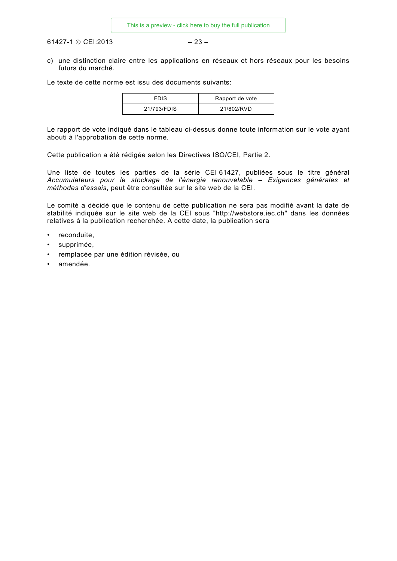$61427 - 1$  © CEI:2013 – 23 –

c) une distinction claire entre les applications en réseaux et hors réseaux pour les besoins futurs du marché.

Le texte de cette norme est issu des documents suivants:

| <b>FDIS</b> | Rapport de vote |
|-------------|-----------------|
| 21/793/FDIS | 21/802/RVD      |

Le rapport de vote indiqué dans le tableau ci-dessus donne toute information sur le vote ayant abouti à l'approbation de cette norme.

Cette publication a été rédigée selon les Directives ISO/CEI, Partie 2.

Une liste de toutes les parties de la série CEI 61427, publiées sous le titre général *Accumulateurs pour le stockage de l'énergie renouvelable – Exigences générales et méthodes d'essais*, peut être consultée sur le site web de la CEI.

Le comité a décidé que le contenu de cette publication ne sera pas modifié avant la date de stabilité indiquée sur le site web de la CEI sous "http://webstore.iec.ch" dans les données relatives à la publication recherchée. A cette date, la publication sera

- reconduite,
- supprimée,
- remplacée par une édition révisée, ou
- amendée.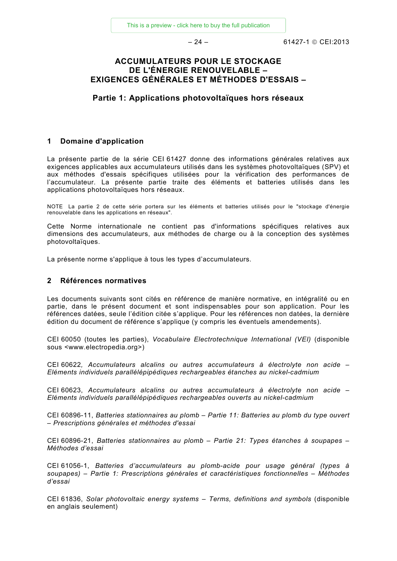#### **ACCUMULATEURS POUR LE STOCKAGE DE L'ÉNERGIE RENOUVELABLE – EXIGENCES GÉNÉRALES ET MÉTHODES D'ESSAIS –**

#### **Partie 1: Applications photovoltaïques hors réseaux**

#### **1 Domaine d'application**

La présente partie de la série CEI 61427 donne des informations générales relatives aux exigences applicables aux accumulateurs utilisés dans les systèmes photovoltaïques (SPV) et aux méthodes d'essais spécifiques utilisées pour la vérification des performances de l'accumulateur. La présente partie traite des éléments et batteries utilisés dans les applications photovoltaïques hors réseaux.

NOTE La partie 2 de cette série portera sur les éléments et batteries utilisés pour le "stockage d'énergie renouvelable dans les applications en réseaux".

Cette Norme internationale ne contient pas d'informations spécifiques relatives aux dimensions des accumulateurs, aux méthodes de charge ou à la conception des systèmes photovoltaïques.

La présente norme s'applique à tous les types d'accumulateurs.

#### **2 Références normatives**

Les documents suivants sont cités en référence de manière normative, en intégralité ou en partie, dans le présent document et sont indispensables pour son application. Pour les références datées, seule l'édition citée s'applique. Pour les références non datées, la dernière édition du document de référence s'applique (y compris les éventuels amendements).

CEI 60050 (toutes les parties), *Vocabulaire Electrotechnique International (VEI)* (disponible sous <www.electropedia.org>)

CEI 60622*, Accumulateurs alcalins ou autres accumulateurs à électrolyte non acide – Eléments individuels parallélépipédiques rechargeables étanches au nickel-cadmium*

CEI 60623, *Accumulateurs alcalins ou autres accumulateurs à électrolyte non acide – Eléments individuels parallélépipédiques rechargeables ouverts au nickel-cadmium*

CEI 60896-11, *Batteries stationnaires au plomb – Partie 11: Batteries au plomb du type ouvert – Prescriptions générales et méthodes d'essai* 

CEI 60896-21, *Batteries stationnaires au plomb – Partie 21: Types étanches à soupapes – Méthodes d'essai*

CEI 61056-1, *Batteries d'accumulateurs au plomb-acide pour usage général (types à soupapes) – Partie 1: Prescriptions générales et caractéristiques fonctionnelles – Méthodes d'essai*

CEI 61836, *Solar photovoltaic energy systems – Terms, definitions and symbols* (disponible en anglais seulement)